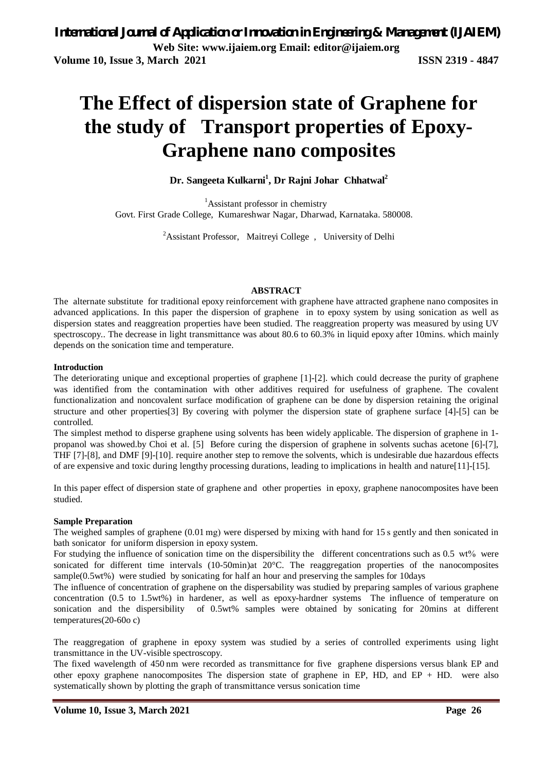# **The Effect of dispersion state of Graphene for the study of Transport properties of Epoxy-Graphene nano composites**

## **Dr. Sangeeta Kulkarni<sup>1</sup> , Dr Rajni Johar Chhatwal<sup>2</sup>**

<sup>1</sup>Assistant professor in chemistry Govt. First Grade College, Kumareshwar Nagar, Dharwad, Karnataka. 580008.

<sup>2</sup>Assistant Professor, Maitreyi College, University of Delhi

#### **ABSTRACT**

The alternate substitute for traditional epoxy reinforcement with graphene have attracted graphene nano composites in advanced applications. In this paper the dispersion of graphene in to epoxy system by using sonication as well as dispersion states and reaggreation properties have been studied. The reaggreation property was measured by using UV spectroscopy.. The decrease in light transmittance was about 80.6 to 60.3% in liquid epoxy after 10mins. which mainly depends on the sonication time and temperature.

#### **Introduction**

The deteriorating unique and exceptional properties of graphene [1]-[2]. which could decrease the purity of graphene was identified from the contamination with other additives required for usefulness of graphene. The covalent functionalization and noncovalent surface modification of graphene can be done by dispersion retaining the original structure and other properties[3] By covering with polymer the dispersion state of graphene surface [4]-[5] can be controlled.

The simplest method to disperse graphene using solvents has been widely applicable. The dispersion of graphene in 1 propanol was showed.by Choi et al. [5] Before curing the dispersion of graphene in solvents suchas acetone [6]-[7], THF [7]-[8], and DMF [9]-[10]. require another step to remove the solvents, which is undesirable due hazardous effects of are expensive and toxic during lengthy processing durations, leading to implications in health and nature[11]-[15].

In this paper effect of dispersion state of graphene and other properties in epoxy, graphene nanocomposites have been studied.

#### **Sample Preparation**

The weighed samples of graphene (0.01 mg) were dispersed by mixing with hand for 15 s gently and then sonicated in bath sonicator for uniform dispersion in epoxy system.

For studying the influence of sonication time on the dispersibility the different concentrations such as  $0.5 \text{ wt\%}$  were sonicated for different time intervals (10-50min)at 20°C. The reaggregation properties of the nanocomposites sample(0.5wt%) were studied by sonicating for half an hour and preserving the samples for 10days

The influence of concentration of graphene on the dispersability was studied by preparing samples of various graphene concentration (0.5 to 1.5wt%) in hardener, as well as epoxy-hardner systems The influence of temperature on sonication and the dispersibility of 0.5wt% samples were obtained by sonicating for 20mins at different temperatures(20-60o c)

The reaggregation of graphene in epoxy system was studied by a series of controlled experiments using light transmittance in the UV-visible spectroscopy.

The fixed wavelength of 450 nm were recorded as transmittance for five graphene dispersions versus blank EP and other epoxy graphene nanocomposites The dispersion state of graphene in EP, HD, and EP + HD. were also systematically shown by plotting the graph of transmittance versus sonication time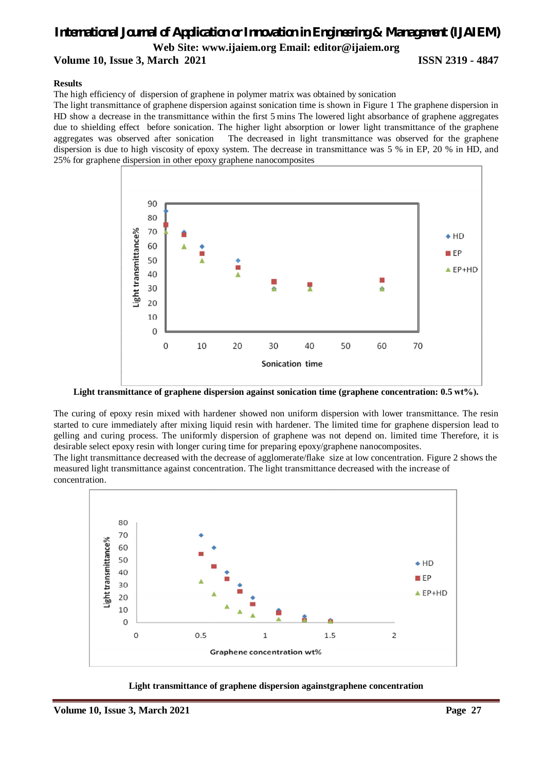# *International Journal of Application or Innovation in Engineering & Management (IJAIEM)* **Web Site: www.ijaiem.org Email: editor@ijaiem.org**

#### **Volume 10, Issue 3, March 2021 ISSN 2319 - 4847**

#### **Results**

The high efficiency of dispersion of graphene in polymer matrix was obtained by sonication

The light transmittance of graphene dispersion against sonication time is shown in Figure 1 The graphene dispersion in HD show a decrease in the transmittance within the first 5 mins The lowered light absorbance of graphene aggregates due to shielding effect before sonication. The higher light absorption or lower light transmittance of the graphene aggregates was observed after sonication The decreased in light transmittance was observed for the graphene dispersion is due to high viscosity of epoxy system. The decrease in transmittance was 5 % in EP, 20 % in HD, and 25% for graphene dispersion in other epoxy graphene nanocomposites



Light transmittance of graphene dispersion against sonication time (graphene concentration: 0.5 wt%).

The curing of epoxy resin mixed with hardener showed non uniform dispersion with lower transmittance. The resin started to cure immediately after mixing liquid resin with hardener. The limited time for graphene dispersion lead to gelling and curing process. The uniformly dispersion of graphene was not depend on. limited time Therefore, it is desirable select epoxy resin with longer curing time for preparing epoxy/graphene nanocomposites.

The light transmittance decreased with the decrease of agglomerate/flake size at low concentration. Figure 2 shows the measured light transmittance against concentration. The light transmittance decreased with the increase of concentration.